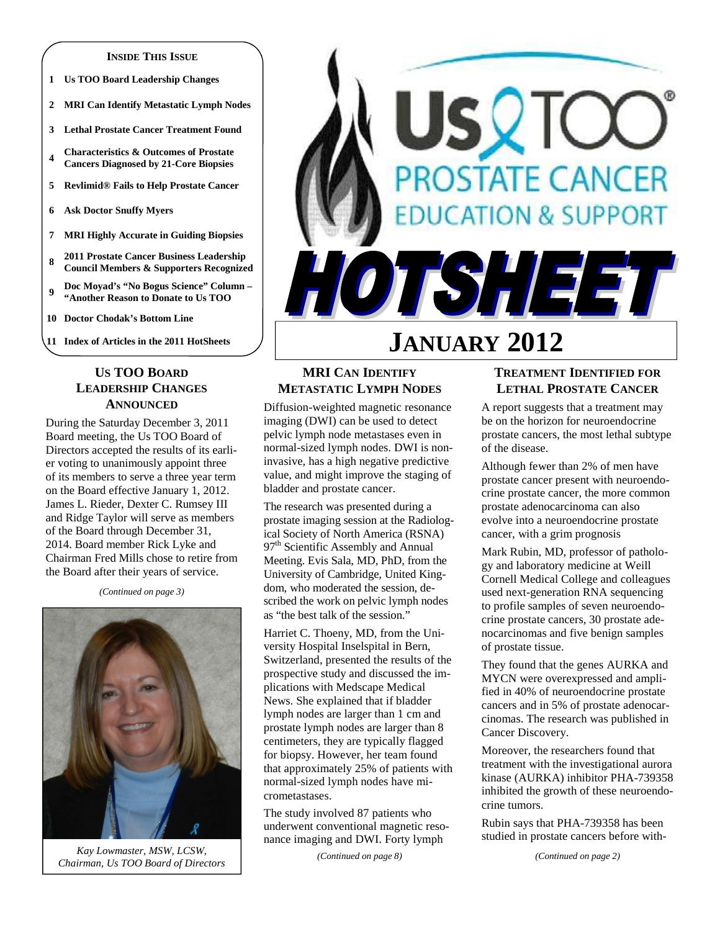#### **INSIDE THIS ISSUE**

- **1 Us TOO Board Leadership Changes**
- **2 MRI Can Identify Metastatic Lymph Nodes**
- **3 Lethal Prostate Cancer Treatment Found**
- **<sup>4</sup>Characteristics & Outcomes of Prostate Cancers Diagnosed by 21-Core Biopsies**
- **5 Revlimid® Fails to Help Prostate Cancer**
- **6 Ask Doctor Snuffy Myers**
- **7 MRI Highly Accurate in Guiding Biopsies**
- **<sup>8</sup>2011 Prostate Cancer Business Leadership Council Members & Supporters Recognized**
- **<sup>9</sup>Doc Moyad's "No Bogus Science" Column "Another Reason to Donate to Us TOO**

**10 Doctor Chodak's Bottom Line** 

**11 Index of Articles in the 2011 HotSheets** 

## **US TOO BOARD LEADERSHIP CHANGES ANNOUNCED**

During the Saturday December 3, 2011 Board meeting, the Us TOO Board of Directors accepted the results of its earlier voting to unanimously appoint three of its members to serve a three year term on the Board effective January 1, 2012. James L. Rieder, Dexter C. Rumsey III and Ridge Taylor will serve as members of the Board through December 31, 2014. Board member Rick Lyke and Chairman Fred Mills chose to retire from the Board after their years of service.

*(Continued on page 3)* 



*(Continued on page 2) Kay Lowmaster, MSW, LCSW, Chairman, Us TOO Board of Directors* 



# **JANUARY 2012**

## **MRI CAN IDENTIFY METASTATIC LYMPH NODES**

Diffusion-weighted magnetic resonance imaging (DWI) can be used to detect pelvic lymph node metastases even in normal-sized lymph nodes. DWI is noninvasive, has a high negative predictive value, and might improve the staging of bladder and prostate cancer.

The research was presented during a prostate imaging session at the Radiological Society of North America (RSNA) 97<sup>th</sup> Scientific Assembly and Annual Meeting. Evis Sala, MD, PhD, from the University of Cambridge, United Kingdom, who moderated the session, described the work on pelvic lymph nodes as "the best talk of the session."

Harriet C. Thoeny, MD, from the University Hospital Inselspital in Bern, Switzerland, presented the results of the prospective study and discussed the implications with Medscape Medical News. She explained that if bladder lymph nodes are larger than 1 cm and prostate lymph nodes are larger than 8 centimeters, they are typically flagged for biopsy. However, her team found that approximately 25% of patients with normal-sized lymph nodes have micrometastases.

The study involved 87 patients who underwent conventional magnetic resonance imaging and DWI. Forty lymph

*(Continued on page 8)* 

#### **TREATMENT IDENTIFIED FOR LETHAL PROSTATE CANCER**

A report suggests that a treatment may be on the horizon for neuroendocrine prostate cancers, the most lethal subtype of the disease.

Although fewer than 2% of men have prostate cancer present with neuroendocrine prostate cancer, the more common prostate adenocarcinoma can also evolve into a neuroendocrine prostate cancer, with a grim prognosis

Mark Rubin, MD, professor of pathology and laboratory medicine at Weill Cornell Medical College and colleagues used next-generation RNA sequencing to profile samples of seven neuroendocrine prostate cancers, 30 prostate adenocarcinomas and five benign samples of prostate tissue.

They found that the genes AURKA and MYCN were overexpressed and amplified in 40% of neuroendocrine prostate cancers and in 5% of prostate adenocarcinomas. The research was published in Cancer Discovery.

Moreover, the researchers found that treatment with the investigational aurora kinase (AURKA) inhibitor PHA-739358 inhibited the growth of these neuroendocrine tumors.

Rubin says that PHA-739358 has been studied in prostate cancers before with-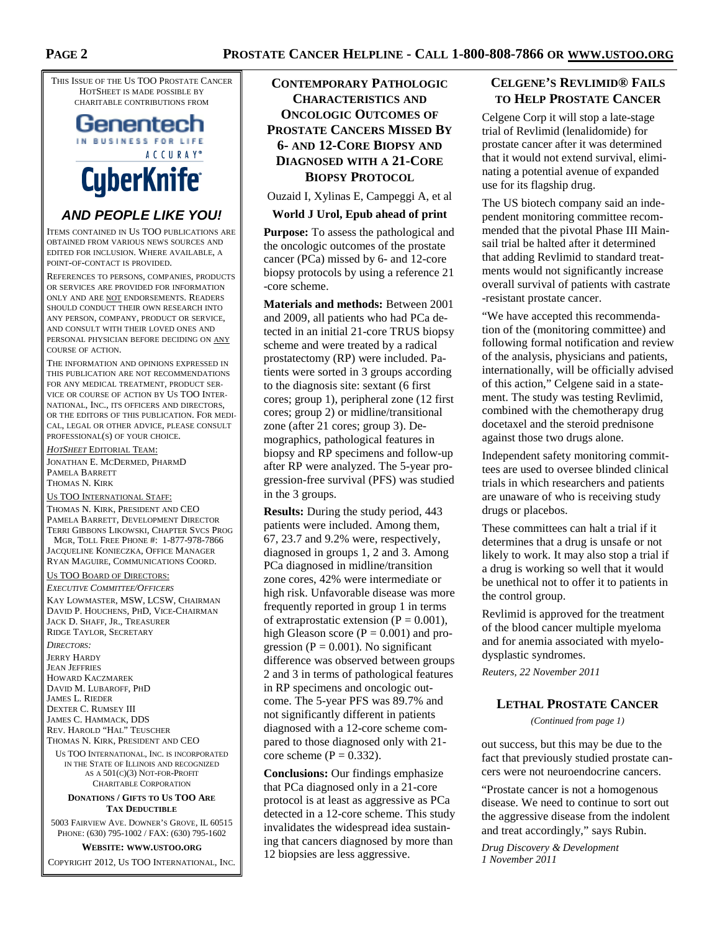THIS ISSUE OF THE US TOO PROSTATE CANCER HOTSHEET IS MADE POSSIBLE BY CHARITABLE CONTRIBUTIONS FROM

## Genentech IN RUSINESS FOR LIFE ACCURAY<sup>®</sup> **CyberKnife**

## **AND PEOPLE LIKE YOU!**

ITEMS CONTAINED IN US TOO PUBLICATIONS ARE OBTAINED FROM VARIOUS NEWS SOURCES AND EDITED FOR INCLUSION. WHERE AVAILABLE, A POINT-OF-CONTACT IS PROVIDED.

REFERENCES TO PERSONS, COMPANIES, PRODUCTS OR SERVICES ARE PROVIDED FOR INFORMATION ONLY AND ARE NOT ENDORSEMENTS. READERS SHOULD CONDUCT THEIR OWN RESEARCH INTO ANY PERSON, COMPANY, PRODUCT OR SERVICE, AND CONSULT WITH THEIR LOVED ONES AND PERSONAL PHYSICIAN BEFORE DECIDING ON ANY COURSE OF ACTION.

THE INFORMATION AND OPINIONS EXPRESSED IN THIS PUBLICATION ARE NOT RECOMMENDATIONS FOR ANY MEDICAL TREATMENT, PRODUCT SER-VICE OR COURSE OF ACTION BY US TOO INTER-NATIONAL, INC., ITS OFFICERS AND DIRECTORS, OR THE EDITORS OF THIS PUBLICATION. FOR MEDI-CAL, LEGAL OR OTHER ADVICE, PLEASE CONSULT PROFESSIONAL(S) OF YOUR CHOICE.

*HOTSHEET* EDITORIAL TEAM: JONATHAN E. MCDERMED, PHARMD PAMELA BARRETT THOMAS N. KIRK

US TOO INTERNATIONAL STAFF:

THOMAS N. KIRK, PRESIDENT AND CEO PAMELA BARRETT, DEVELOPMENT DIRECTOR TERRI GIBBONS LIKOWSKI, CHAPTER SVCS PROG MGR, TOLL FREE PHONE #: 1-877-978-7866

JACQUELINE KONIECZKA, OFFICE MANAGER RYAN MAGUIRE, COMMUNICATIONS COORD.

US TOO BOARD OF DIRECTORS:

*EXECUTIVE COMMITTEE/OFFICERS* KAY LOWMASTER, MSW, LCSW, CHAIRMAN DAVID P. HOUCHENS, PHD, VICE-CHAIRMAN JACK D. SHAFF, JR., TREASURER RIDGE TAYLOR, SECRETARY

*DIRECTORS:*  JERRY HARDY JEAN JEFFRIES HOWARD KACZMAREK DAVID M. LUBAROFF, PHD JAMES L. RIEDER DEXTER C. RUMSEY III JAMES C. HAMMACK, DDS REV. HAROLD "HAL" TEUSCHER THOMAS N. KIRK, PRESIDENT AND CEO

US TOO INTERNATIONAL, INC. IS INCORPORATED IN THE STATE OF ILLINOIS AND RECOGNIZED AS A 501(C)(3) NOT-FOR-PROFIT CHARITABLE CORPORATION

#### **DONATIONS / GIFTS TO US TOO ARE TAX DEDUCTIBLE**

5003 FAIRVIEW AVE. DOWNER'S GROVE, IL 60515 PHONE: (630) 795-1002 / FAX: (630) 795-1602

**WEBSITE: WWW.USTOO.ORG** COPYRIGHT 2012, US TOO INTERNATIONAL, INC.

**CONTEMPORARY PATHOLOGIC CHARACTERISTICS AND ONCOLOGIC OUTCOMES OF PROSTATE CANCERS MISSED BY 6- AND 12-CORE BIOPSY AND DIAGNOSED WITH A 21-CORE BIOPSY PROTOCOL**

Ouzaid I, Xylinas E, Campeggi A, et al

### **World J Urol, Epub ahead of print**

**Purpose:** To assess the pathological and the oncologic outcomes of the prostate cancer (PCa) missed by 6- and 12-core biopsy protocols by using a reference 21 -core scheme.

**Materials and methods:** Between 2001 and 2009, all patients who had PCa detected in an initial 21-core TRUS biopsy scheme and were treated by a radical prostatectomy (RP) were included. Patients were sorted in 3 groups according to the diagnosis site: sextant (6 first cores; group 1), peripheral zone (12 first cores; group 2) or midline/transitional zone (after 21 cores; group 3). Demographics, pathological features in biopsy and RP specimens and follow-up after RP were analyzed. The 5-year progression-free survival (PFS) was studied in the 3 groups.

**Results:** During the study period, 443 patients were included. Among them, 67, 23.7 and 9.2% were, respectively, diagnosed in groups 1, 2 and 3. Among PCa diagnosed in midline/transition zone cores, 42% were intermediate or high risk. Unfavorable disease was more frequently reported in group 1 in terms of extraprostatic extension  $(P = 0.001)$ , high Gleason score  $(P = 0.001)$  and progression ( $P = 0.001$ ). No significant difference was observed between groups 2 and 3 in terms of pathological features in RP specimens and oncologic outcome. The 5-year PFS was 89.7% and not significantly different in patients diagnosed with a 12-core scheme compared to those diagnosed only with 21 core scheme ( $P = 0.332$ ).

**Conclusions:** Our findings emphasize that PCa diagnosed only in a 21-core protocol is at least as aggressive as PCa detected in a 12-core scheme. This study invalidates the widespread idea sustaining that cancers diagnosed by more than 12 biopsies are less aggressive.

## **CELGENE'S REVLIMID® FAILS TO HELP PROSTATE CANCER**

Celgene Corp it will stop a late-stage trial of Revlimid (lenalidomide) for prostate cancer after it was determined that it would not extend survival, eliminating a potential avenue of expanded use for its flagship drug.

The US biotech company said an independent monitoring committee recommended that the pivotal Phase III Mainsail trial be halted after it determined that adding Revlimid to standard treatments would not significantly increase overall survival of patients with castrate -resistant prostate cancer.

"We have accepted this recommendation of the (monitoring committee) and following formal notification and review of the analysis, physicians and patients, internationally, will be officially advised of this action," Celgene said in a statement. The study was testing Revlimid, combined with the chemotherapy drug docetaxel and the steroid prednisone against those two drugs alone.

Independent safety monitoring committees are used to oversee blinded clinical trials in which researchers and patients are unaware of who is receiving study drugs or placebos.

These committees can halt a trial if it determines that a drug is unsafe or not likely to work. It may also stop a trial if a drug is working so well that it would be unethical not to offer it to patients in the control group.

Revlimid is approved for the treatment of the blood cancer multiple myeloma and for anemia associated with myelodysplastic syndromes.

*Reuters, 22 November 2011* 

## **LETHAL PROSTATE CANCER**

*(Continued from page 1)* 

out success, but this may be due to the fact that previously studied prostate cancers were not neuroendocrine cancers.

"Prostate cancer is not a homogenous disease. We need to continue to sort out the aggressive disease from the indolent and treat accordingly," says Rubin.

*Drug Discovery & Development 1 November 2011*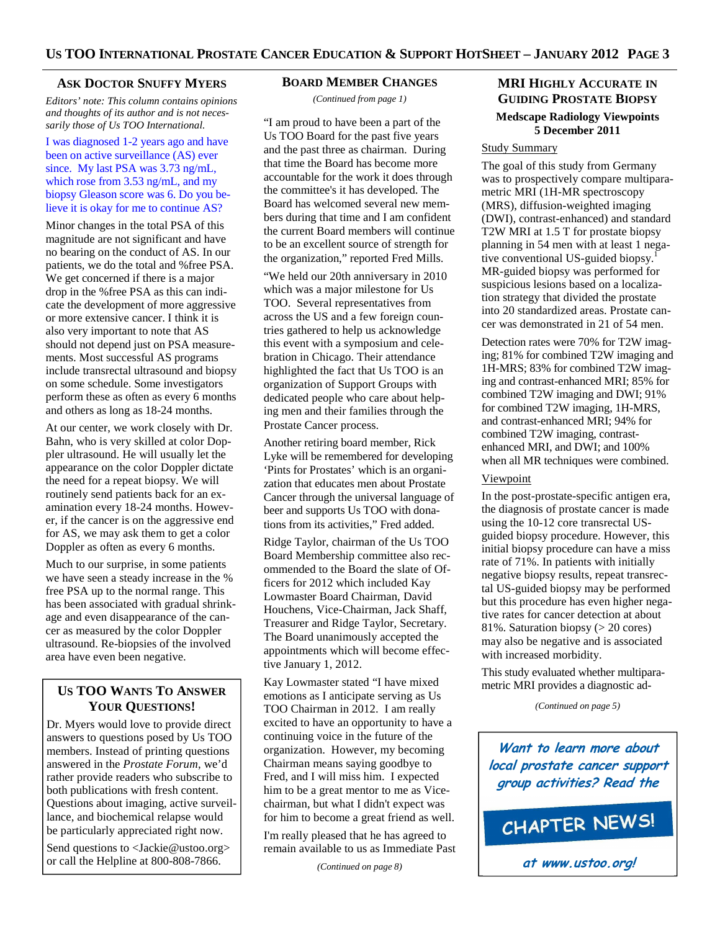#### **ASK DOCTOR SNUFFY MYERS**

*Editors' note: This column contains opinions and thoughts of its author and is not necessarily those of Us TOO International.* 

I was diagnosed 1-2 years ago and have been on active surveillance (AS) ever since. My last PSA was 3.73 ng/mL, which rose from 3.53 ng/mL, and my biopsy Gleason score was 6. Do you believe it is okay for me to continue AS?

Minor changes in the total PSA of this magnitude are not significant and have no bearing on the conduct of AS. In our patients, we do the total and %free PSA. We get concerned if there is a major drop in the %free PSA as this can indicate the development of more aggressive or more extensive cancer. I think it is also very important to note that AS should not depend just on PSA measurements. Most successful AS programs include transrectal ultrasound and biopsy on some schedule. Some investigators perform these as often as every 6 months and others as long as 18-24 months.

At our center, we work closely with Dr. Bahn, who is very skilled at color Doppler ultrasound. He will usually let the appearance on the color Doppler dictate the need for a repeat biopsy. We will routinely send patients back for an examination every 18-24 months. However, if the cancer is on the aggressive end for AS, we may ask them to get a color Doppler as often as every 6 months.

Much to our surprise, in some patients we have seen a steady increase in the % free PSA up to the normal range. This has been associated with gradual shrinkage and even disappearance of the cancer as measured by the color Doppler ultrasound. Re-biopsies of the involved area have even been negative.

## **US TOO WANTS TO ANSWER YOUR QUESTIONS!**

Dr. Myers would love to provide direct answers to questions posed by Us TOO members. Instead of printing questions answered in the *Prostate Forum*, we'd rather provide readers who subscribe to both publications with fresh content. Questions about imaging, active surveillance, and biochemical relapse would be particularly appreciated right now.

Send questions to <Jackie@ustoo.org> or call the Helpline at 800-808-7866.

## **BOARD MEMBER CHANGES**

*(Continued from page 1)* 

"I am proud to have been a part of the Us TOO Board for the past five years and the past three as chairman. During that time the Board has become more accountable for the work it does through the committee's it has developed. The Board has welcomed several new members during that time and I am confident the current Board members will continue to be an excellent source of strength for the organization," reported Fred Mills.

"We held our 20th anniversary in 2010 which was a major milestone for Us TOO. Several representatives from across the US and a few foreign countries gathered to help us acknowledge this event with a symposium and celebration in Chicago. Their attendance highlighted the fact that Us TOO is an organization of Support Groups with dedicated people who care about helping men and their families through the Prostate Cancer process.

Another retiring board member, Rick Lyke will be remembered for developing 'Pints for Prostates' which is an organization that educates men about Prostate Cancer through the universal language of beer and supports Us TOO with donations from its activities," Fred added.

Ridge Taylor, chairman of the Us TOO Board Membership committee also recommended to the Board the slate of Officers for 2012 which included Kay Lowmaster Board Chairman, David Houchens, Vice-Chairman, Jack Shaff, Treasurer and Ridge Taylor, Secretary. The Board unanimously accepted the appointments which will become effective January 1, 2012.

Kay Lowmaster stated "I have mixed emotions as I anticipate serving as Us TOO Chairman in 2012. I am really excited to have an opportunity to have a continuing voice in the future of the organization. However, my becoming Chairman means saying goodbye to Fred, and I will miss him. I expected him to be a great mentor to me as Vicechairman, but what I didn't expect was for him to become a great friend as well.

I'm really pleased that he has agreed to remain available to us as Immediate Past

*(Continued on page 8)* 

## **MRI HIGHLY ACCURATE IN GUIDING PROSTATE BIOPSY Medscape Radiology Viewpoints**

## **5 December 2011**

#### Study Summary

The goal of this study from Germany was to prospectively compare multiparametric MRI (1H-MR spectroscopy (MRS), diffusion-weighted imaging (DWI), contrast-enhanced) and standard T2W MRI at 1.5 T for prostate biopsy planning in 54 men with at least 1 negative conventional US-guided biopsy.<sup>1</sup> MR-guided biopsy was performed for suspicious lesions based on a localization strategy that divided the prostate into 20 standardized areas. Prostate cancer was demonstrated in 21 of 54 men.

Detection rates were 70% for T2W imaging; 81% for combined T2W imaging and 1H-MRS; 83% for combined T2W imaging and contrast-enhanced MRI; 85% for combined T2W imaging and DWI; 91% for combined T2W imaging, 1H-MRS, and contrast-enhanced MRI; 94% for combined T2W imaging, contrastenhanced MRI, and DWI; and 100% when all MR techniques were combined.

#### **Viewpoint**

In the post-prostate-specific antigen era, the diagnosis of prostate cancer is made using the 10-12 core transrectal USguided biopsy procedure. However, this initial biopsy procedure can have a miss rate of 71%. In patients with initially negative biopsy results, repeat transrectal US-guided biopsy may be performed but this procedure has even higher negative rates for cancer detection at about 81%. Saturation biopsy (> 20 cores) may also be negative and is associated with increased morbidity.

This study evaluated whether multiparametric MRI provides a diagnostic ad-

*(Continued on page 5)* 

**Want to learn more about local prostate cancer support group activities? Read the**

CHAPTER NEWS!

**at www.ustoo.org!**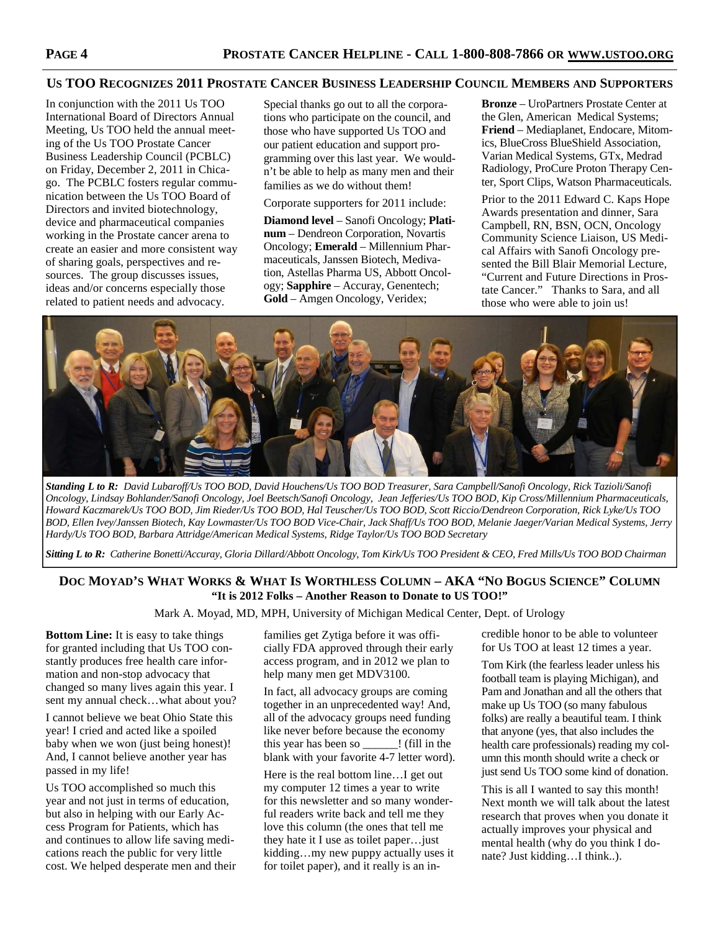### **US TOO RECOGNIZES 2011 PROSTATE CANCER BUSINESS LEADERSHIP COUNCIL MEMBERS AND SUPPORTERS**

In conjunction with the 2011 Us TOO International Board of Directors Annual Meeting, Us TOO held the annual meeting of the Us TOO Prostate Cancer Business Leadership Council (PCBLC) on Friday, December 2, 2011 in Chicago. The PCBLC fosters regular communication between the Us TOO Board of Directors and invited biotechnology, device and pharmaceutical companies working in the Prostate cancer arena to create an easier and more consistent way of sharing goals, perspectives and resources. The group discusses issues, ideas and/or concerns especially those related to patient needs and advocacy.

Special thanks go out to all the corporations who participate on the council, and those who have supported Us TOO and our patient education and support programming over this last year. We wouldn't be able to help as many men and their families as we do without them!

Corporate supporters for 2011 include:

**Diamond level** – Sanofi Oncology; **Platinum** – Dendreon Corporation, Novartis Oncology; **Emerald** – Millennium Pharmaceuticals, Janssen Biotech, Medivation, Astellas Pharma US, Abbott Oncology; **Sapphire** – Accuray, Genentech; **Gold** – Amgen Oncology, Veridex;

**Bronze** – UroPartners Prostate Center at the Glen, American Medical Systems; **Friend** – Mediaplanet, Endocare, Mitomics, BlueCross BlueShield Association, Varian Medical Systems, GTx, Medrad Radiology, ProCure Proton Therapy Center, Sport Clips, Watson Pharmaceuticals.

Prior to the 2011 Edward C. Kaps Hope Awards presentation and dinner, Sara Campbell, RN, BSN, OCN, Oncology Community Science Liaison, US Medical Affairs with Sanofi Oncology presented the Bill Blair Memorial Lecture, "Current and Future Directions in Prostate Cancer." Thanks to Sara, and all those who were able to join us!



*Standing L to R: David Lubaroff/Us TOO BOD, David Houchens/Us TOO BOD Treasurer, Sara Campbell/Sanofi Oncology, Rick Tazioli/Sanofi Oncology, Lindsay Bohlander/Sanofi Oncology, Joel Beetsch/Sanofi Oncology, Jean Jefferies/Us TOO BOD, Kip Cross/Millennium Pharmaceuticals, Howard Kaczmarek/Us TOO BOD, Jim Rieder/Us TOO BOD, Hal Teuscher/Us TOO BOD, Scott Riccio/Dendreon Corporation, Rick Lyke/Us TOO BOD, Ellen Ivey/Janssen Biotech, Kay Lowmaster/Us TOO BOD Vice-Chair, Jack Shaff/Us TOO BOD, Melanie Jaeger/Varian Medical Systems, Jerry Hardy/Us TOO BOD, Barbara Attridge/American Medical Systems, Ridge Taylor/Us TOO BOD Secretary* 

*Sitting L to R: Catherine Bonetti/Accuray, Gloria Dillard/Abbott Oncology, Tom Kirk/Us TOO President & CEO, Fred Mills/Us TOO BOD Chairman* 

## DOC MOYAD'S WHAT WORKS & WHAT IS WORTHLESS COLUMN - AKA "NO BOGUS SCIENCE" COLUMN **"It is 2012 Folks – Another Reason to Donate to US TOO!"**

Mark A. Moyad, MD, MPH, University of Michigan Medical Center, Dept. of Urology

**Bottom Line:** It is easy to take things for granted including that Us TOO constantly produces free health care information and non-stop advocacy that changed so many lives again this year. I sent my annual check…what about you?

I cannot believe we beat Ohio State this year! I cried and acted like a spoiled baby when we won (just being honest)! And, I cannot believe another year has passed in my life!

Us TOO accomplished so much this year and not just in terms of education, but also in helping with our Early Access Program for Patients, which has and continues to allow life saving medications reach the public for very little cost. We helped desperate men and their

families get Zytiga before it was officially FDA approved through their early access program, and in 2012 we plan to help many men get MDV3100.

In fact, all advocacy groups are coming together in an unprecedented way! And, all of the advocacy groups need funding like never before because the economy this year has been so \_\_\_\_\_\_! (fill in the blank with your favorite 4-7 letter word).

Here is the real bottom line…I get out my computer 12 times a year to write for this newsletter and so many wonderful readers write back and tell me they love this column (the ones that tell me they hate it I use as toilet paper…just kidding…my new puppy actually uses it for toilet paper), and it really is an incredible honor to be able to volunteer for Us TOO at least 12 times a year.

Tom Kirk (the fearless leader unless his football team is playing Michigan), and Pam and Jonathan and all the others that make up Us TOO (so many fabulous folks) are really a beautiful team. I think that anyone (yes, that also includes the health care professionals) reading my column this month should write a check or just send Us TOO some kind of donation.

This is all I wanted to say this month! Next month we will talk about the latest research that proves when you donate it actually improves your physical and mental health (why do you think I donate? Just kidding…I think..).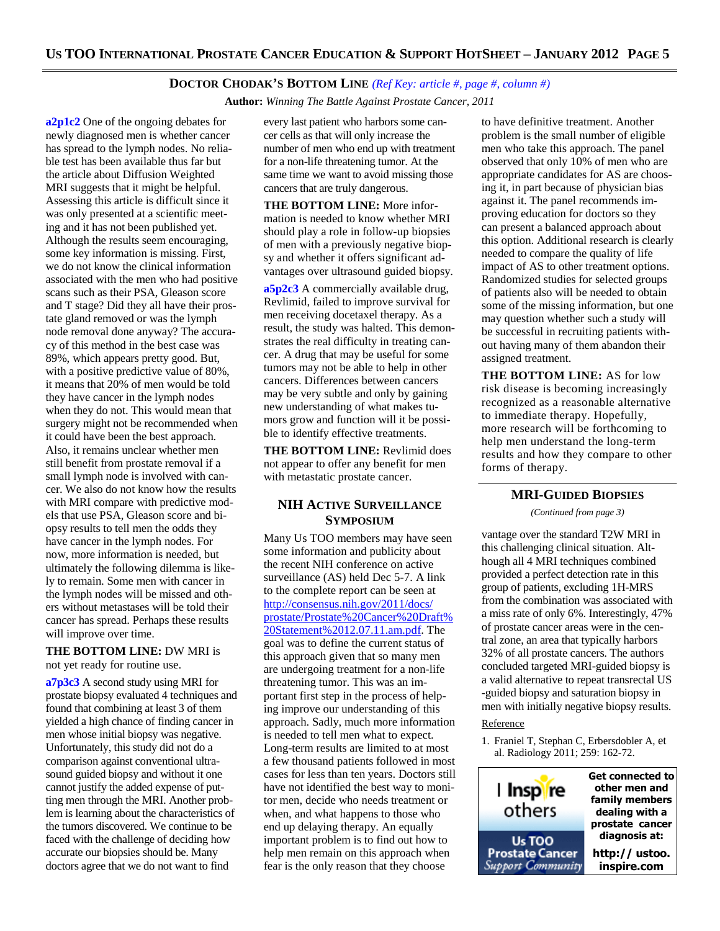#### **DOCTOR CHODAK'S BOTTOM LINE** *(Ref Key: article #, page #, column #)*

**Author:** *Winning The Battle Against Prostate Cancer, 2011*

**a2p1c2** One of the ongoing debates for newly diagnosed men is whether cancer has spread to the lymph nodes. No reliable test has been available thus far but the article about Diffusion Weighted MRI suggests that it might be helpful. Assessing this article is difficult since it was only presented at a scientific meeting and it has not been published yet. Although the results seem encouraging, some key information is missing. First, we do not know the clinical information associated with the men who had positive scans such as their PSA, Gleason score and T stage? Did they all have their prostate gland removed or was the lymph node removal done anyway? The accuracy of this method in the best case was 89%, which appears pretty good. But, with a positive predictive value of 80%, it means that 20% of men would be told they have cancer in the lymph nodes when they do not. This would mean that surgery might not be recommended when it could have been the best approach. Also, it remains unclear whether men still benefit from prostate removal if a small lymph node is involved with cancer. We also do not know how the results with MRI compare with predictive models that use PSA, Gleason score and biopsy results to tell men the odds they have cancer in the lymph nodes. For now, more information is needed, but ultimately the following dilemma is likely to remain. Some men with cancer in the lymph nodes will be missed and others without metastases will be told their cancer has spread. Perhaps these results will improve over time.

**THE BOTTOM LINE:** DW MRI is not yet ready for routine use.

**a7p3c3** A second study using MRI for prostate biopsy evaluated 4 techniques and found that combining at least 3 of them yielded a high chance of finding cancer in men whose initial biopsy was negative. Unfortunately, this study did not do a comparison against conventional ultrasound guided biopsy and without it one cannot justify the added expense of putting men through the MRI. Another problem is learning about the characteristics of the tumors discovered. We continue to be faced with the challenge of deciding how accurate our biopsies should be. Many doctors agree that we do not want to find

every last patient who harbors some cancer cells as that will only increase the number of men who end up with treatment for a non-life threatening tumor. At the same time we want to avoid missing those cancers that are truly dangerous.

**THE BOTTOM LINE:** More information is needed to know whether MRI should play a role in follow-up biopsies of men with a previously negative biopsy and whether it offers significant advantages over ultrasound guided biopsy.

**a5p2c3** A commercially available drug, Revlimid, failed to improve survival for men receiving docetaxel therapy. As a result, the study was halted. This demonstrates the real difficulty in treating cancer. A drug that may be useful for some tumors may not be able to help in other cancers. Differences between cancers may be very subtle and only by gaining new understanding of what makes tumors grow and function will it be possible to identify effective treatments.

**THE BOTTOM LINE:** Revlimid does not appear to offer any benefit for men with metastatic prostate cancer.

### **NIH ACTIVE SURVEILLANCE SYMPOSIUM**

Many Us TOO members may have seen some information and publicity about the recent NIH conference on active surveillance (AS) held Dec 5-7. A link to the complete report can be seen at http://consensus.nih.gov/2011/docs/ prostate/Prostate%20Cancer%20Draft% 20Statement%2012.07.11.am.pdf. The goal was to define the current status of this approach given that so many men are undergoing treatment for a non-life threatening tumor. This was an important first step in the process of helping improve our understanding of this approach. Sadly, much more information is needed to tell men what to expect. Long-term results are limited to at most a few thousand patients followed in most cases for less than ten years. Doctors still have not identified the best way to monitor men, decide who needs treatment or when, and what happens to those who end up delaying therapy. An equally important problem is to find out how to help men remain on this approach when fear is the only reason that they choose

to have definitive treatment. Another problem is the small number of eligible men who take this approach. The panel observed that only 10% of men who are appropriate candidates for AS are choosing it, in part because of physician bias against it. The panel recommends improving education for doctors so they can present a balanced approach about this option. Additional research is clearly needed to compare the quality of life impact of AS to other treatment options. Randomized studies for selected groups of patients also will be needed to obtain some of the missing information, but one may question whether such a study will be successful in recruiting patients without having many of them abandon their assigned treatment.

**THE BOTTOM LINE:** AS for low risk disease is becoming increasingly recognized as a reasonable alternative to immediate therapy. Hopefully, more research will be forthcoming to help men understand the long-term results and how they compare to other forms of therapy.

#### **MRI-GUIDED BIOPSIES**

*(Continued from page 3)* 

vantage over the standard T2W MRI in this challenging clinical situation. Although all 4 MRI techniques combined provided a perfect detection rate in this group of patients, excluding 1H-MRS from the combination was associated with a miss rate of only 6%. Interestingly, 47% of prostate cancer areas were in the central zone, an area that typically harbors 32% of all prostate cancers. The authors concluded targeted MRI-guided biopsy is a valid alternative to repeat transrectal US -guided biopsy and saturation biopsy in men with initially negative biopsy results.

#### **Reference**

1. Franiel T, Stephan C, Erbersdobler A, et al. Radiology 2011; 259: 162-72.

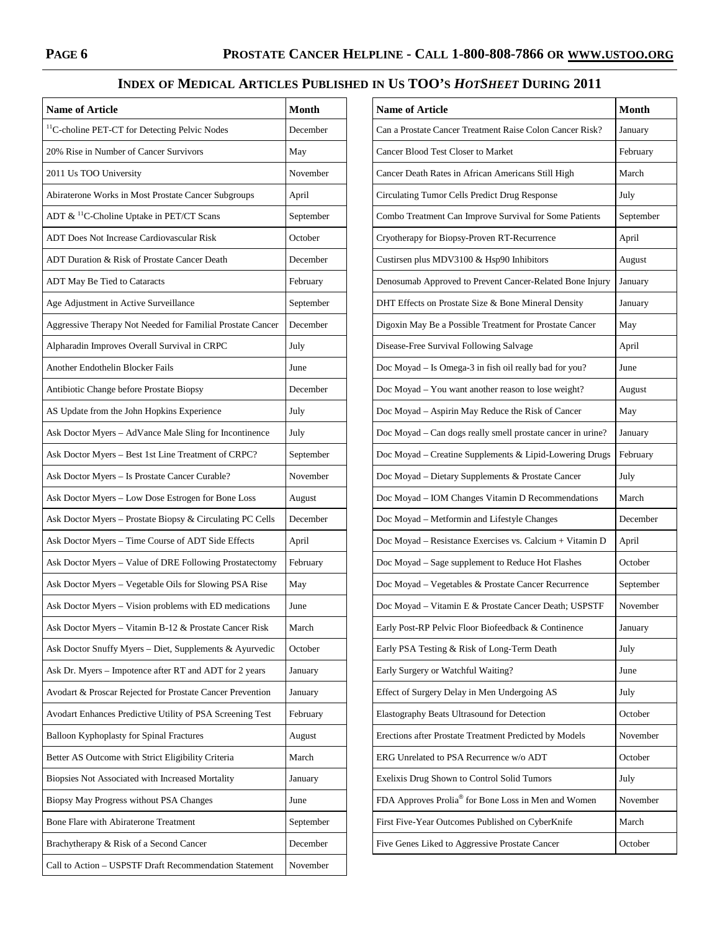## **INDEX OF MEDICAL ARTICLES PUBLISHED IN US TOO'S** *HOTSHEET* **DURING 2011**

| <b>Name of Article</b>                                     | <b>Month</b> |
|------------------------------------------------------------|--------------|
| <sup>11</sup> C-choline PET-CT for Detecting Pelvic Nodes  | December     |
| 20% Rise in Number of Cancer Survivors                     | May          |
| 2011 Us TOO University                                     | November     |
| Abiraterone Works in Most Prostate Cancer Subgroups        | April        |
| ADT & <sup>11</sup> C-Choline Uptake in PET/CT Scans       | September    |
| <b>ADT Does Not Increase Cardiovascular Risk</b>           | October      |
| ADT Duration & Risk of Prostate Cancer Death               | December     |
| ADT May Be Tied to Cataracts                               | February     |
| Age Adjustment in Active Surveillance                      | September    |
| Aggressive Therapy Not Needed for Familial Prostate Cancer | December     |
| Alpharadin Improves Overall Survival in CRPC               | July         |
| <b>Another Endothelin Blocker Fails</b>                    | June         |
| Antibiotic Change before Prostate Biopsy                   | December     |
| AS Update from the John Hopkins Experience                 | July         |
| Ask Doctor Myers - AdVance Male Sling for Incontinence     | July         |
| Ask Doctor Myers - Best 1st Line Treatment of CRPC?        | September    |
| Ask Doctor Myers - Is Prostate Cancer Curable?             | November     |
| Ask Doctor Myers - Low Dose Estrogen for Bone Loss         | August       |
| Ask Doctor Myers - Prostate Biopsy & Circulating PC Cells  | December     |
| Ask Doctor Myers - Time Course of ADT Side Effects         | April        |
| Ask Doctor Myers - Value of DRE Following Prostatectomy    | February     |
| Ask Doctor Myers - Vegetable Oils for Slowing PSA Rise     | May          |
| Ask Doctor Myers - Vision problems with ED medications     | June         |
| Ask Doctor Myers - Vitamin B-12 & Prostate Cancer Risk     | March        |
| Ask Doctor Snuffy Myers - Diet, Supplements & Ayurvedic    | October      |
| Ask Dr. Myers - Impotence after RT and ADT for 2 years     | January      |
| Avodart & Proscar Rejected for Prostate Cancer Prevention  | January      |
| Avodart Enhances Predictive Utility of PSA Screening Test  | February     |
| Balloon Kyphoplasty for Spinal Fractures                   | August       |
| Better AS Outcome with Strict Eligibility Criteria         | March        |
| Biopsies Not Associated with Increased Mortality           | January      |
| Biopsy May Progress without PSA Changes                    | June         |
| Bone Flare with Abiraterone Treatment                      | September    |
| Brachytherapy & Risk of a Second Cancer                    | December     |
| Call to Action - USPSTF Draft Recommendation Statement     | November     |

| <b>Name of Article</b>                                      | <b>Month</b> |
|-------------------------------------------------------------|--------------|
| Can a Prostate Cancer Treatment Raise Colon Cancer Risk?    | January      |
| Cancer Blood Test Closer to Market                          | February     |
| Cancer Death Rates in African Americans Still High          | March        |
| Circulating Tumor Cells Predict Drug Response               | July         |
| Combo Treatment Can Improve Survival for Some Patients      | September    |
| Cryotherapy for Biopsy-Proven RT-Recurrence                 | April        |
| Custirsen plus MDV3100 & Hsp90 Inhibitors                   | August       |
| Denosumab Approved to Prevent Cancer-Related Bone Injury    | January      |
| DHT Effects on Prostate Size & Bone Mineral Density         | January      |
| Digoxin May Be a Possible Treatment for Prostate Cancer     | May          |
| Disease-Free Survival Following Salvage                     | April        |
| Doc Moyad - Is Omega-3 in fish oil really bad for you?      | June         |
| Doc Moyad - You want another reason to lose weight?         | August       |
| Doc Moyad - Aspirin May Reduce the Risk of Cancer           | May          |
| Doc Moyad - Can dogs really smell prostate cancer in urine? | January      |
| Doc Moyad - Creatine Supplements & Lipid-Lowering Drugs     | February     |
| Doc Moyad - Dietary Supplements & Prostate Cancer           | July         |
| Doc Moyad - IOM Changes Vitamin D Recommendations           | March        |
| Doc Moyad - Metformin and Lifestyle Changes                 | December     |
| Doc Moyad - Resistance Exercises vs. Calcium + Vitamin D    | April        |
| Doc Moyad - Sage supplement to Reduce Hot Flashes           | October      |
| Doc Moyad - Vegetables & Prostate Cancer Recurrence         | September    |
| Doc Moyad - Vitamin E & Prostate Cancer Death; USPSTF       | November     |
| Early Post-RP Pelvic Floor Biofeedback & Continence         | January      |
| Early PSA Testing & Risk of Long-Term Death                 | July         |
| Early Surgery or Watchful Waiting?                          | June         |
| Effect of Surgery Delay in Men Undergoing AS                | July         |
| Elastography Beats Ultrasound for Detection                 | October      |
| Erections after Prostate Treatment Predicted by Models      | November     |
| ERG Unrelated to PSA Recurrence w/o ADT                     | October      |
| Exelixis Drug Shown to Control Solid Tumors                 | July         |
| FDA Approves Prolia® for Bone Loss in Men and Women         | November     |
| First Five-Year Outcomes Published on CyberKnife            | March        |
| Five Genes Liked to Aggressive Prostate Cancer              | October      |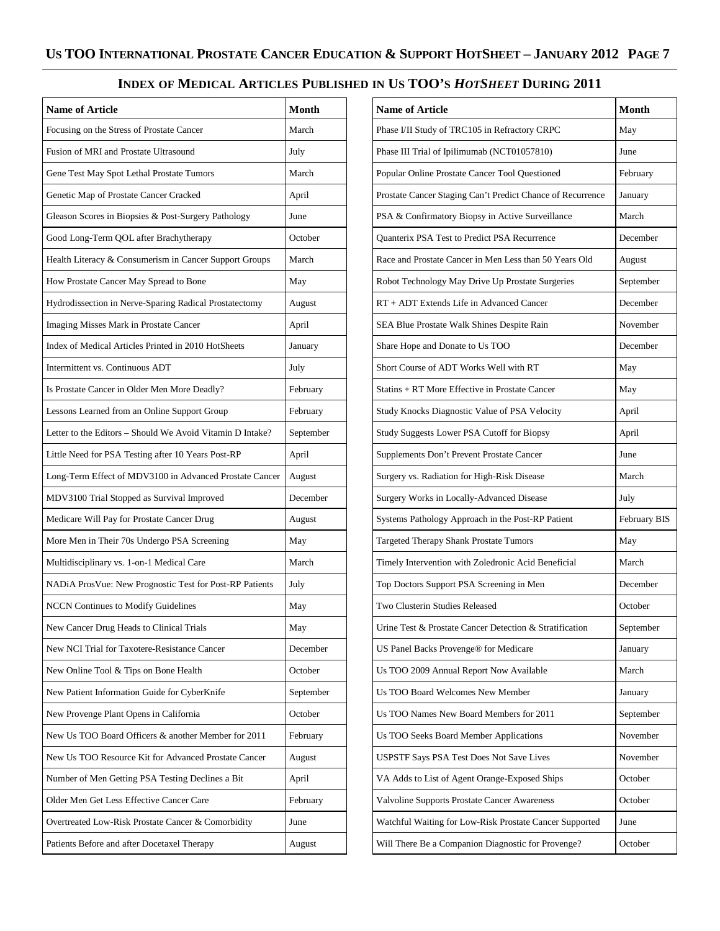## **INDEX OF MEDICAL ARTICLES PUBLISHED IN US TOO'S** *HOTSHEET* **DURING 2011**

| <b>Name of Article</b>                                    | <b>Month</b> |
|-----------------------------------------------------------|--------------|
| Focusing on the Stress of Prostate Cancer                 | March        |
| Fusion of MRI and Prostate Ultrasound                     | July         |
| Gene Test May Spot Lethal Prostate Tumors                 | March        |
| Genetic Map of Prostate Cancer Cracked                    | April        |
| Gleason Scores in Biopsies & Post-Surgery Pathology       | June         |
| Good Long-Term QOL after Brachytherapy                    | October      |
| Health Literacy & Consumerism in Cancer Support Groups    | March        |
| How Prostate Cancer May Spread to Bone                    | May          |
| Hydrodissection in Nerve-Sparing Radical Prostatectomy    | August       |
| Imaging Misses Mark in Prostate Cancer                    | April        |
| Index of Medical Articles Printed in 2010 HotSheets       | January      |
| Intermittent vs. Continuous ADT                           | July         |
| Is Prostate Cancer in Older Men More Deadly?              | February     |
| Lessons Learned from an Online Support Group              | February     |
| Letter to the Editors - Should We Avoid Vitamin D Intake? | September    |
| Little Need for PSA Testing after 10 Years Post-RP        | April        |
| Long-Term Effect of MDV3100 in Advanced Prostate Cancer   | August       |
| MDV3100 Trial Stopped as Survival Improved                | December     |
| Medicare Will Pay for Prostate Cancer Drug                | August       |
| More Men in Their 70s Undergo PSA Screening               | May          |
| Multidisciplinary vs. 1-on-1 Medical Care                 | March        |
| NADiA ProsVue: New Prognostic Test for Post-RP Patients   | July         |
| <b>NCCN</b> Continues to Modify Guidelines                | May          |
| New Cancer Drug Heads to Clinical Trials                  | May          |
| New NCI Trial for Taxotere-Resistance Cancer              | December     |
| New Online Tool & Tips on Bone Health                     | October      |
| New Patient Information Guide for CyberKnife              | September    |
| New Provenge Plant Opens in California                    | October      |
| New Us TOO Board Officers & another Member for 2011       | February     |
| New Us TOO Resource Kit for Advanced Prostate Cancer      | August       |
| Number of Men Getting PSA Testing Declines a Bit          | <b>April</b> |
| Older Men Get Less Effective Cancer Care                  | February     |
| Overtreated Low-Risk Prostate Cancer & Comorbidity        | June         |
| Patients Before and after Docetaxel Therapy               | August       |

| <b>Name of Article</b>                                     | <b>Month</b> |
|------------------------------------------------------------|--------------|
| Phase I/II Study of TRC105 in Refractory CRPC              | May          |
| Phase III Trial of Ipilimumab (NCT01057810)                | June         |
| Popular Online Prostate Cancer Tool Questioned             | February     |
| Prostate Cancer Staging Can't Predict Chance of Recurrence | January      |
| PSA & Confirmatory Biopsy in Active Surveillance           | March        |
| Quanterix PSA Test to Predict PSA Recurrence               | December     |
| Race and Prostate Cancer in Men Less than 50 Years Old     | August       |
| Robot Technology May Drive Up Prostate Surgeries           | September    |
| RT + ADT Extends Life in Advanced Cancer                   | December     |
| SEA Blue Prostate Walk Shines Despite Rain                 | November     |
| Share Hope and Donate to Us TOO                            | December     |
| Short Course of ADT Works Well with RT                     | May          |
| Statins + RT More Effective in Prostate Cancer             | May          |
| Study Knocks Diagnostic Value of PSA Velocity              | April        |
| Study Suggests Lower PSA Cutoff for Biopsy                 | April        |
| Supplements Don't Prevent Prostate Cancer                  | June         |
| Surgery vs. Radiation for High-Risk Disease                | March        |
| Surgery Works in Locally-Advanced Disease                  | July         |
| Systems Pathology Approach in the Post-RP Patient          | February BIS |
| Targeted Therapy Shank Prostate Tumors                     | May          |
| Timely Intervention with Zoledronic Acid Beneficial        | March        |
| Top Doctors Support PSA Screening in Men                   | December     |
| Two Clusterin Studies Released                             | October      |
| Urine Test & Prostate Cancer Detection & Stratification    | September    |
| US Panel Backs Provenge® for Medicare                      | January      |
| Us TOO 2009 Annual Report Now Available                    | March        |
| Us TOO Board Welcomes New Member                           | January      |
| Us TOO Names New Board Members for 2011                    | September    |
| Us TOO Seeks Board Member Applications                     | November     |
| USPSTF Says PSA Test Does Not Save Lives                   | November     |
| VA Adds to List of Agent Orange-Exposed Ships              | October      |
| Valvoline Supports Prostate Cancer Awareness               | October      |
| Watchful Waiting for Low-Risk Prostate Cancer Supported    | June         |
| Will There Be a Companion Diagnostic for Provenge?         | October      |